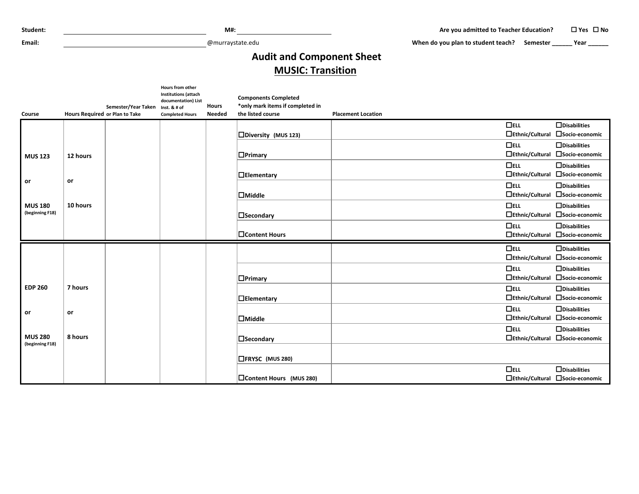| Student: |
|----------|
|----------|

**Email:** @murraystate.edu

When do you plan to student teach? Semester **\_\_\_\_\_\_** Year **\_\_\_\_\_\_** 

## **Audit and Component Sheet MUSIC: Transition**

|                                   |                                                       | Hours from other<br><b>Institutions (attach</b><br>documentation) List | <b>Hours</b>  | <b>Components Completed</b>                           |                           |                                  |
|-----------------------------------|-------------------------------------------------------|------------------------------------------------------------------------|---------------|-------------------------------------------------------|---------------------------|----------------------------------|
| Course                            | Semester/Year Taken<br>Hours Required or Plan to Take | Inst. & # of<br><b>Completed Hours</b>                                 | <b>Needed</b> | *only mark items if completed in<br>the listed course | <b>Placement Location</b> |                                  |
|                                   |                                                       |                                                                        |               |                                                       | $\Box$ ELL                | $\Box$ Disabilities              |
|                                   |                                                       |                                                                        |               | $\square$ Diversity (MUS 123)                         | $\Box$ Ethnic/Cultural    | □Socio-economic                  |
|                                   |                                                       |                                                                        |               |                                                       | $\Box$ ELL                | $\Box$ Disabilities              |
| <b>MUS 123</b>                    | 12 hours                                              |                                                                        |               | $\Box$ Primary                                        | $\Box$ Ethnic/Cultural    | □Socio-economic                  |
|                                   |                                                       |                                                                        |               |                                                       | $\Box$ ELL                | $\Box$ Disabilities              |
|                                   |                                                       |                                                                        |               | $\Box$ Elementary                                     | $\Box$ Ethnic/Cultural    | □Socio-economic                  |
| or                                | or                                                    |                                                                        |               |                                                       | $\Box$ ELL                | $\Box$ Disabilities              |
|                                   |                                                       |                                                                        |               | $\Box$ Middle                                         | $\Box$ Ethnic/Cultural    | □Socio-economic                  |
| <b>MUS 180</b>                    | 10 hours                                              |                                                                        |               |                                                       | $\Box$ ELL                | $\Box$ Disabilities              |
| (beginning F18)                   |                                                       |                                                                        |               | $\square$ Secondary                                   | $\Box$ Ethnic/Cultural    | □Socio-economic                  |
|                                   |                                                       |                                                                        |               |                                                       | $\Box$ ELL                | $\Box$ Disabilities              |
|                                   |                                                       |                                                                        |               | □Content Hours                                        |                           | □Ethnic/Cultural □Socio-economic |
|                                   |                                                       |                                                                        |               |                                                       | $\Box$ ELL                | $\Box$ Disabilities              |
|                                   |                                                       |                                                                        |               |                                                       |                           | □Ethnic/Cultural □Socio-economic |
|                                   |                                                       |                                                                        |               |                                                       | $\Box$ ELL                | $\Box$ Disabilities              |
|                                   |                                                       |                                                                        |               | $\Box$ Primary                                        | $\Box$ Ethnic/Cultural    | □Socio-economic                  |
| <b>EDP 260</b>                    | 7 hours                                               |                                                                        |               |                                                       | $\Box$ ELL                | $\Box$ Disabilities              |
|                                   |                                                       |                                                                        |               | $\Box$ Elementary                                     | $\Box$ Ethnic/Cultural    | □Socio-economic                  |
| or                                | or                                                    |                                                                        |               |                                                       | $\Box$ ELL                | $\Box$ Disabilities              |
|                                   |                                                       |                                                                        |               | $\Box$ Middle                                         | $\Box$ Ethnic/Cultural    | □Socio-economic                  |
|                                   |                                                       |                                                                        |               |                                                       | $\Box$ ELL                | $\Box$ Disabilities              |
| <b>MUS 280</b><br>(beginning F18) | 8 hours                                               |                                                                        |               | $\Box$ Secondary                                      |                           | □Ethnic/Cultural □Socio-economic |
|                                   |                                                       |                                                                        |               |                                                       |                           |                                  |
|                                   |                                                       |                                                                        |               | □FRYSC (MUS 280)                                      |                           |                                  |
|                                   |                                                       |                                                                        |               |                                                       | $\Box$ ELL                | $\Box$ Disabilities              |
|                                   |                                                       |                                                                        |               | □Content Hours (MUS 280)                              |                           | □Ethnic/Cultural □Socio-economic |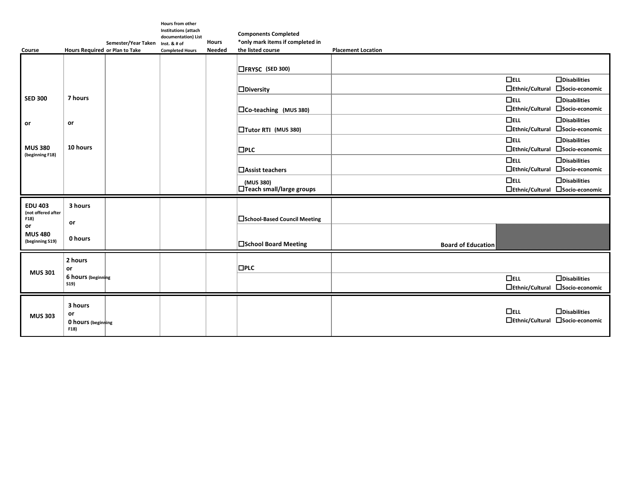| Course                                  | Hours Required or Plan to Take                     | Semester/Year Taken | Hours from other<br><b>Institutions (attach</b><br>documentation) List<br>Inst. & # of<br><b>Completed Hours</b> | <b>Hours</b><br><b>Needed</b> | <b>Components Completed</b><br>*only mark items if completed in<br>the listed course | <b>Placement Location</b> |                                      |                                                         |
|-----------------------------------------|----------------------------------------------------|---------------------|------------------------------------------------------------------------------------------------------------------|-------------------------------|--------------------------------------------------------------------------------------|---------------------------|--------------------------------------|---------------------------------------------------------|
|                                         |                                                    |                     |                                                                                                                  |                               | □FRYSC (SED 300)                                                                     |                           |                                      |                                                         |
|                                         |                                                    |                     |                                                                                                                  |                               |                                                                                      |                           | $\Box$ ELL                           | $\Box$ Disabilities<br>□Socio-economic                  |
| <b>SED 300</b>                          | 7 hours                                            |                     |                                                                                                                  |                               | $\Box$ Diversity                                                                     |                           | $\Box$ Ethnic/Cultural<br>$\Box$ ELL | $\Box$ Disabilities                                     |
|                                         |                                                    |                     |                                                                                                                  |                               | $\Box$ Co-teaching (MUS 380)                                                         |                           |                                      | □Ethnic/Cultural □Socio-economic                        |
| or                                      | or                                                 |                     |                                                                                                                  |                               | □Tutor RTI (MUS 380)                                                                 |                           | $\Box$ ELL                           | $\Box$ Disabilities<br>□Ethnic/Cultural □Socio-economic |
| <b>MUS 380</b>                          | 10 hours                                           |                     |                                                                                                                  |                               | $\square$ PLC                                                                        |                           | $\Box$ ELL                           | $\Box$ Disabilities<br>□Ethnic/Cultural □Socio-economic |
| (beginning F18)                         |                                                    |                     |                                                                                                                  |                               | □ Assist teachers                                                                    |                           | $\Box$ ELL                           | $\Box$ Disabilities<br>□Ethnic/Cultural □Socio-economic |
|                                         |                                                    |                     |                                                                                                                  |                               | (MUS 380)<br>□Teach small/large groups                                               |                           | $\Box$ ELL                           | $\Box$ Disabilities<br>□Ethnic/Cultural □Socio-economic |
| <b>EDU 403</b>                          | 3 hours                                            |                     |                                                                                                                  |                               |                                                                                      |                           |                                      |                                                         |
| (not offered after<br>F18)              | or                                                 |                     |                                                                                                                  |                               | □School-Based Council Meeting                                                        |                           |                                      |                                                         |
| or<br><b>MUS 480</b><br>(beginning S19) | 0 hours                                            |                     |                                                                                                                  |                               | □School Board Meeting                                                                | <b>Board of Education</b> |                                      |                                                         |
|                                         | 2 hours<br>or                                      |                     |                                                                                                                  |                               | $\square$ PLC                                                                        |                           |                                      |                                                         |
| <b>MUS 301</b>                          | 6 hours (beginning<br>S19                          |                     |                                                                                                                  |                               |                                                                                      |                           | $\Box$ ELL                           | $\Box$ Disabilities<br>□Ethnic/Cultural □Socio-economic |
| <b>MUS 303</b>                          | 3 hours<br>or<br><b>0 hours</b> (beginning<br>F18) |                     |                                                                                                                  |                               |                                                                                      |                           | $\Box$ ELL<br>$\Box$ Ethnic/Cultural | $\Box$ Disabilities<br>□Socio-economic                  |